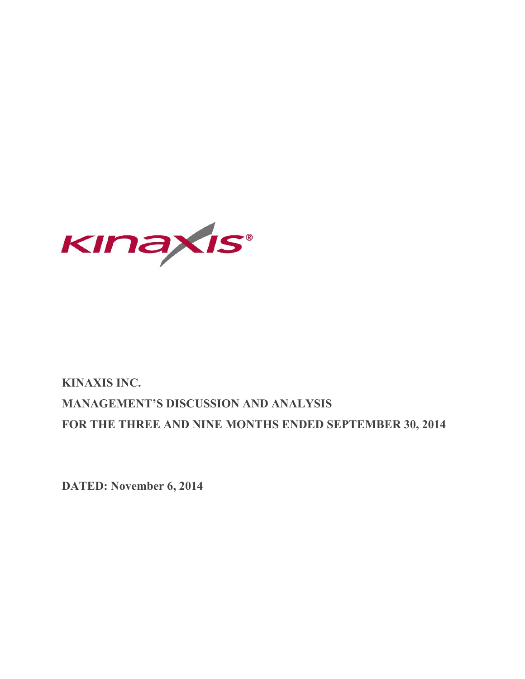

# **KINAXIS INC. MANAGEMENT'S DISCUSSION AND ANALYSIS FOR THE THREE AND NINE MONTHS ENDED SEPTEMBER 30, 2014**

**DATED: November 6, 2014**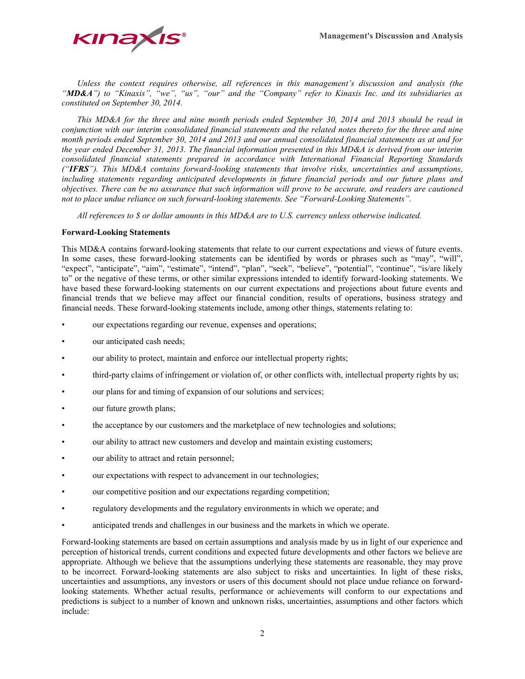

*Unless the context requires otherwise, all references in this management's discussion and analysis (the "MD&A") to "Kinaxis", "we", "us", "our" and the "Company" refer to Kinaxis Inc. and its subsidiaries as constituted on September 30, 2014.*

*This MD&A for the three and nine month periods ended September 30, 2014 and 2013 should be read in conjunction with our interim consolidated financial statements and the related notes thereto for the three and nine month periods ended September 30, 2014 and 2013 and our annual consolidated financial statements as at and for the year ended December 31, 2013. The financial information presented in this MD&A is derived from our interim consolidated financial statements prepared in accordance with International Financial Reporting Standards ("IFRS"). This MD&A contains forward-looking statements that involve risks, uncertainties and assumptions, including statements regarding anticipated developments in future financial periods and our future plans and objectives. There can be no assurance that such information will prove to be accurate, and readers are cautioned not to place undue reliance on such forward-looking statements. See "Forward-Looking Statements".*

*All references to \$ or dollar amounts in this MD&A are to U.S. currency unless otherwise indicated.* 

# **Forward-Looking Statements**

This MD&A contains forward-looking statements that relate to our current expectations and views of future events. In some cases, these forward-looking statements can be identified by words or phrases such as "may", "will", "expect", "anticipate", "aim", "estimate", "intend", "plan", "seek", "believe", "potential", "continue", "is/are likely to" or the negative of these terms, or other similar expressions intended to identify forward-looking statements. We have based these forward-looking statements on our current expectations and projections about future events and financial trends that we believe may affect our financial condition, results of operations, business strategy and financial needs. These forward-looking statements include, among other things, statements relating to:

- our expectations regarding our revenue, expenses and operations;
- our anticipated cash needs;
- our ability to protect, maintain and enforce our intellectual property rights;
- third-party claims of infringement or violation of, or other conflicts with, intellectual property rights by us;
- our plans for and timing of expansion of our solutions and services;
- our future growth plans;
- the acceptance by our customers and the marketplace of new technologies and solutions;
- our ability to attract new customers and develop and maintain existing customers;
- our ability to attract and retain personnel;
- our expectations with respect to advancement in our technologies;
- our competitive position and our expectations regarding competition;
- regulatory developments and the regulatory environments in which we operate; and
- anticipated trends and challenges in our business and the markets in which we operate.

Forward-looking statements are based on certain assumptions and analysis made by us in light of our experience and perception of historical trends, current conditions and expected future developments and other factors we believe are appropriate. Although we believe that the assumptions underlying these statements are reasonable, they may prove to be incorrect. Forward-looking statements are also subject to risks and uncertainties. In light of these risks, uncertainties and assumptions, any investors or users of this document should not place undue reliance on forwardlooking statements. Whether actual results, performance or achievements will conform to our expectations and predictions is subject to a number of known and unknown risks, uncertainties, assumptions and other factors which include: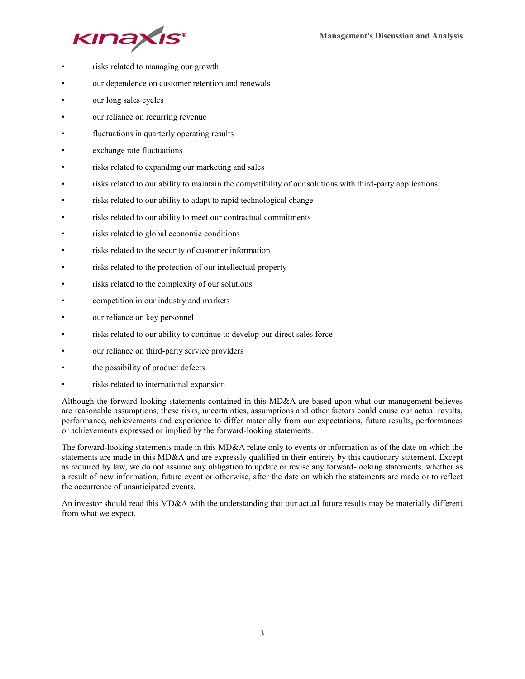



- risks related to managing our growth
- our dependence on customer retention and renewals
- our long sales cycles
- our reliance on recurring revenue
- fluctuations in quarterly operating results
- exchange rate fluctuations
- risks related to expanding our marketing and sales
- risks related to our ability to maintain the compatibility of our solutions with third-party applications
- risks related to our ability to adapt to rapid technological change
- risks related to our ability to meet our contractual commitments
- risks related to global economic conditions
- risks related to the security of customer information
- risks related to the protection of our intellectual property
- risks related to the complexity of our solutions
- competition in our industry and markets
- our reliance on key personnel
- risks related to our ability to continue to develop our direct sales force
- our reliance on third-party service providers
- the possibility of product defects
- risks related to international expansion

Although the forward-looking statements contained in this MD&A are based upon what our management believes are reasonable assumptions, these risks, uncertainties, assumptions and other factors could cause our actual results, performance, achievements and experience to differ materially from our expectations, future results, performances or achievements expressed or implied by the forward-looking statements.

The forward-looking statements made in this MD&A relate only to events or information as of the date on which the statements are made in this MD&A and are expressly qualified in their entirety by this cautionary statement. Except as required by law, we do not assume any obligation to update or revise any forward-looking statements, whether as a result of new information, future event or otherwise, after the date on which the statements are made or to reflect the occurrence of unanticipated events.

An investor should read this MD&A with the understanding that our actual future results may be materially different from what we expect.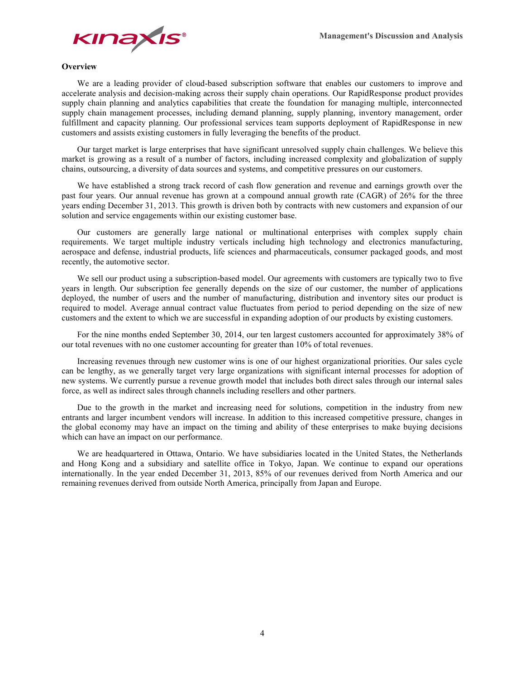

## **Overview**

We are a leading provider of cloud-based subscription software that enables our customers to improve and accelerate analysis and decision-making across their supply chain operations. Our RapidResponse product provides supply chain planning and analytics capabilities that create the foundation for managing multiple, interconnected supply chain management processes, including demand planning, supply planning, inventory management, order fulfillment and capacity planning. Our professional services team supports deployment of RapidResponse in new customers and assists existing customers in fully leveraging the benefits of the product.

Our target market is large enterprises that have significant unresolved supply chain challenges. We believe this market is growing as a result of a number of factors, including increased complexity and globalization of supply chains, outsourcing, a diversity of data sources and systems, and competitive pressures on our customers.

We have established a strong track record of cash flow generation and revenue and earnings growth over the past four years. Our annual revenue has grown at a compound annual growth rate (CAGR) of 26% for the three years ending December 31, 2013. This growth is driven both by contracts with new customers and expansion of our solution and service engagements within our existing customer base.

Our customers are generally large national or multinational enterprises with complex supply chain requirements. We target multiple industry verticals including high technology and electronics manufacturing, aerospace and defense, industrial products, life sciences and pharmaceuticals, consumer packaged goods, and most recently, the automotive sector.

We sell our product using a subscription-based model. Our agreements with customers are typically two to five years in length. Our subscription fee generally depends on the size of our customer, the number of applications deployed, the number of users and the number of manufacturing, distribution and inventory sites our product is required to model. Average annual contract value fluctuates from period to period depending on the size of new customers and the extent to which we are successful in expanding adoption of our products by existing customers.

For the nine months ended September 30, 2014, our ten largest customers accounted for approximately 38% of our total revenues with no one customer accounting for greater than 10% of total revenues.

Increasing revenues through new customer wins is one of our highest organizational priorities. Our sales cycle can be lengthy, as we generally target very large organizations with significant internal processes for adoption of new systems. We currently pursue a revenue growth model that includes both direct sales through our internal sales force, as well as indirect sales through channels including resellers and other partners.

Due to the growth in the market and increasing need for solutions, competition in the industry from new entrants and larger incumbent vendors will increase. In addition to this increased competitive pressure, changes in the global economy may have an impact on the timing and ability of these enterprises to make buying decisions which can have an impact on our performance.

We are headquartered in Ottawa, Ontario. We have subsidiaries located in the United States, the Netherlands and Hong Kong and a subsidiary and satellite office in Tokyo, Japan. We continue to expand our operations internationally. In the year ended December 31, 2013, 85% of our revenues derived from North America and our remaining revenues derived from outside North America, principally from Japan and Europe.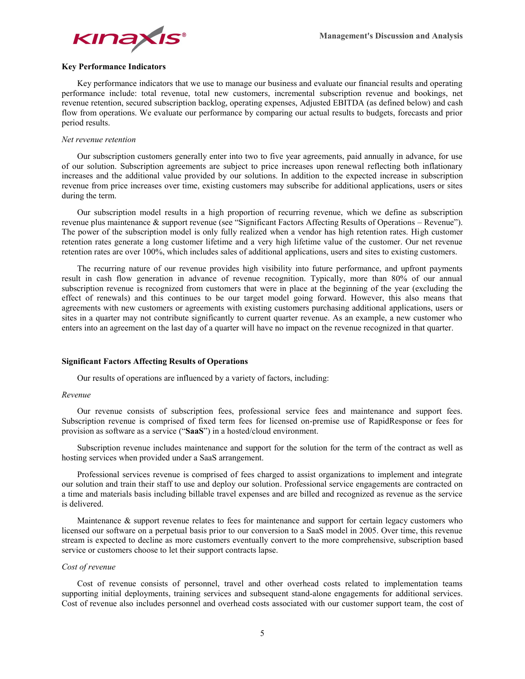

# **Key Performance Indicators**

Key performance indicators that we use to manage our business and evaluate our financial results and operating performance include: total revenue, total new customers, incremental subscription revenue and bookings, net revenue retention, secured subscription backlog, operating expenses, Adjusted EBITDA (as defined below) and cash flow from operations. We evaluate our performance by comparing our actual results to budgets, forecasts and prior period results.

#### *Net revenue retention*

Our subscription customers generally enter into two to five year agreements, paid annually in advance, for use of our solution. Subscription agreements are subject to price increases upon renewal reflecting both inflationary increases and the additional value provided by our solutions. In addition to the expected increase in subscription revenue from price increases over time, existing customers may subscribe for additional applications, users or sites during the term.

Our subscription model results in a high proportion of recurring revenue, which we define as subscription revenue plus maintenance & support revenue (see "Significant Factors Affecting Results of Operations – Revenue"). The power of the subscription model is only fully realized when a vendor has high retention rates. High customer retention rates generate a long customer lifetime and a very high lifetime value of the customer. Our net revenue retention rates are over 100%, which includes sales of additional applications, users and sites to existing customers.

The recurring nature of our revenue provides high visibility into future performance, and upfront payments result in cash flow generation in advance of revenue recognition. Typically, more than 80% of our annual subscription revenue is recognized from customers that were in place at the beginning of the year (excluding the effect of renewals) and this continues to be our target model going forward. However, this also means that agreements with new customers or agreements with existing customers purchasing additional applications, users or sites in a quarter may not contribute significantly to current quarter revenue. As an example, a new customer who enters into an agreement on the last day of a quarter will have no impact on the revenue recognized in that quarter.

#### **Significant Factors Affecting Results of Operations**

Our results of operations are influenced by a variety of factors, including:

#### *Revenue*

Our revenue consists of subscription fees, professional service fees and maintenance and support fees. Subscription revenue is comprised of fixed term fees for licensed on-premise use of RapidResponse or fees for provision as software as a service ("**SaaS**") in a hosted/cloud environment.

Subscription revenue includes maintenance and support for the solution for the term of the contract as well as hosting services when provided under a SaaS arrangement.

Professional services revenue is comprised of fees charged to assist organizations to implement and integrate our solution and train their staff to use and deploy our solution. Professional service engagements are contracted on a time and materials basis including billable travel expenses and are billed and recognized as revenue as the service is delivered.

Maintenance & support revenue relates to fees for maintenance and support for certain legacy customers who licensed our software on a perpetual basis prior to our conversion to a SaaS model in 2005. Over time, this revenue stream is expected to decline as more customers eventually convert to the more comprehensive, subscription based service or customers choose to let their support contracts lapse.

## *Cost of revenue*

Cost of revenue consists of personnel, travel and other overhead costs related to implementation teams supporting initial deployments, training services and subsequent stand-alone engagements for additional services. Cost of revenue also includes personnel and overhead costs associated with our customer support team, the cost of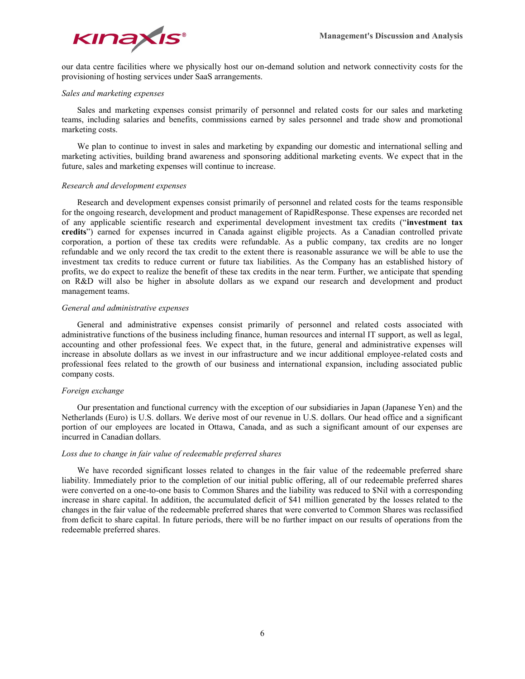

our data centre facilities where we physically host our on-demand solution and network connectivity costs for the provisioning of hosting services under SaaS arrangements.

## *Sales and marketing expenses*

Sales and marketing expenses consist primarily of personnel and related costs for our sales and marketing teams, including salaries and benefits, commissions earned by sales personnel and trade show and promotional marketing costs.

We plan to continue to invest in sales and marketing by expanding our domestic and international selling and marketing activities, building brand awareness and sponsoring additional marketing events. We expect that in the future, sales and marketing expenses will continue to increase.

## *Research and development expenses*

Research and development expenses consist primarily of personnel and related costs for the teams responsible for the ongoing research, development and product management of RapidResponse. These expenses are recorded net of any applicable scientific research and experimental development investment tax credits ("**investment tax credits**") earned for expenses incurred in Canada against eligible projects. As a Canadian controlled private corporation, a portion of these tax credits were refundable. As a public company, tax credits are no longer refundable and we only record the tax credit to the extent there is reasonable assurance we will be able to use the investment tax credits to reduce current or future tax liabilities. As the Company has an established history of profits, we do expect to realize the benefit of these tax credits in the near term. Further, we anticipate that spending on R&D will also be higher in absolute dollars as we expand our research and development and product management teams.

## *General and administrative expenses*

General and administrative expenses consist primarily of personnel and related costs associated with administrative functions of the business including finance, human resources and internal IT support, as well as legal, accounting and other professional fees. We expect that, in the future, general and administrative expenses will increase in absolute dollars as we invest in our infrastructure and we incur additional employee-related costs and professional fees related to the growth of our business and international expansion, including associated public company costs.

## *Foreign exchange*

Our presentation and functional currency with the exception of our subsidiaries in Japan (Japanese Yen) and the Netherlands (Euro) is U.S. dollars. We derive most of our revenue in U.S. dollars. Our head office and a significant portion of our employees are located in Ottawa, Canada, and as such a significant amount of our expenses are incurred in Canadian dollars.

## *Loss due to change in fair value of redeemable preferred shares*

We have recorded significant losses related to changes in the fair value of the redeemable preferred share liability. Immediately prior to the completion of our initial public offering, all of our redeemable preferred shares were converted on a one-to-one basis to Common Shares and the liability was reduced to \$Nil with a corresponding increase in share capital. In addition, the accumulated deficit of \$41 million generated by the losses related to the changes in the fair value of the redeemable preferred shares that were converted to Common Shares was reclassified from deficit to share capital. In future periods, there will be no further impact on our results of operations from the redeemable preferred shares.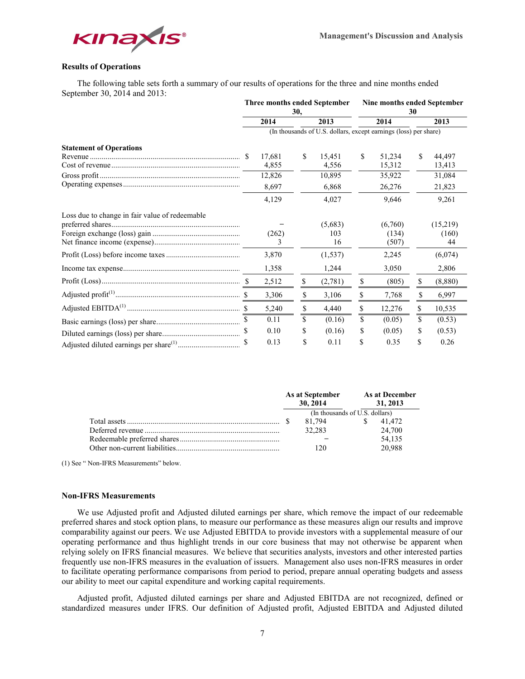

# **Results of Operations**

The following table sets forth a summary of our results of operations for the three and nine months ended September 30, 2014 and 2013:

|                                                | Three months ended September<br>30,                              |            |    | Nine months ended September<br>30 |    |                           |     |                         |  |  |  |  |
|------------------------------------------------|------------------------------------------------------------------|------------|----|-----------------------------------|----|---------------------------|-----|-------------------------|--|--|--|--|
|                                                |                                                                  | 2014       |    | 2013                              |    | 2014                      |     | 2013                    |  |  |  |  |
|                                                | (In thousands of U.S. dollars, except earnings (loss) per share) |            |    |                                   |    |                           |     |                         |  |  |  |  |
| <b>Statement of Operations</b>                 |                                                                  |            |    |                                   |    |                           |     |                         |  |  |  |  |
|                                                |                                                                  | 17,681     | \$ | 15,451                            | \$ | 51,234                    | \$. | 44,497                  |  |  |  |  |
|                                                |                                                                  | 4,855      |    | 4,556                             |    | 15,312                    |     | 13,413                  |  |  |  |  |
|                                                |                                                                  | 12,826     |    | 10,895                            |    | 35,922                    |     | 31,084                  |  |  |  |  |
|                                                |                                                                  | 8,697      |    | 6,868                             |    | 26,276                    |     | 21,823                  |  |  |  |  |
|                                                |                                                                  | 4,129      |    | 4,027                             |    | 9,646                     |     | 9,261                   |  |  |  |  |
| Loss due to change in fair value of redeemable |                                                                  | (262)<br>3 |    | (5,683)<br>103<br>16              |    | (6,760)<br>(134)<br>(507) |     | (15,219)<br>(160)<br>44 |  |  |  |  |
|                                                |                                                                  | 3,870      |    | (1, 537)                          |    | 2,245                     |     | (6,074)                 |  |  |  |  |
|                                                |                                                                  | 1,358      |    | 1,244                             |    | 3,050                     |     | 2,806                   |  |  |  |  |
|                                                |                                                                  | 2,512      | \$ | (2,781)                           | \$ | (805)                     | \$  | (8,880)                 |  |  |  |  |
|                                                |                                                                  | 3,306      | \$ | 3,106                             | \$ | 7,768                     | \$  | 6,997                   |  |  |  |  |
|                                                |                                                                  | 5,240      | \$ | 4,440                             | \$ | 12,276                    | \$  | 10,535                  |  |  |  |  |
|                                                |                                                                  | 0.11       | \$ | (0.16)                            | \$ | (0.05)                    | \$  | (0.53)                  |  |  |  |  |
|                                                |                                                                  | 0.10       | \$ | (0.16)                            | \$ | (0.05)                    | \$  | (0.53)                  |  |  |  |  |
|                                                |                                                                  | 0.13       | \$ | 0.11                              | \$ | 0.35                      | \$  | 0.26                    |  |  |  |  |

|  | As at September<br>30, 2014    | As at December<br>31, 2013 |
|--|--------------------------------|----------------------------|
|  | (In thousands of U.S. dollars) |                            |
|  | 81.794                         | 41.472                     |
|  | 32.283                         | 24,700                     |
|  |                                | 54.135                     |
|  | 120                            | 20.988                     |

(1) See " Non-IFRS Measurements" below.

#### **Non-IFRS Measurements**

We use Adjusted profit and Adjusted diluted earnings per share, which remove the impact of our redeemable preferred shares and stock option plans, to measure our performance as these measures align our results and improve comparability against our peers. We use Adjusted EBITDA to provide investors with a supplemental measure of our operating performance and thus highlight trends in our core business that may not otherwise be apparent when relying solely on IFRS financial measures. We believe that securities analysts, investors and other interested parties frequently use non-IFRS measures in the evaluation of issuers. Management also uses non-IFRS measures in order to facilitate operating performance comparisons from period to period, prepare annual operating budgets and assess our ability to meet our capital expenditure and working capital requirements.

Adjusted profit, Adjusted diluted earnings per share and Adjusted EBITDA are not recognized, defined or standardized measures under IFRS. Our definition of Adjusted profit, Adjusted EBITDA and Adjusted diluted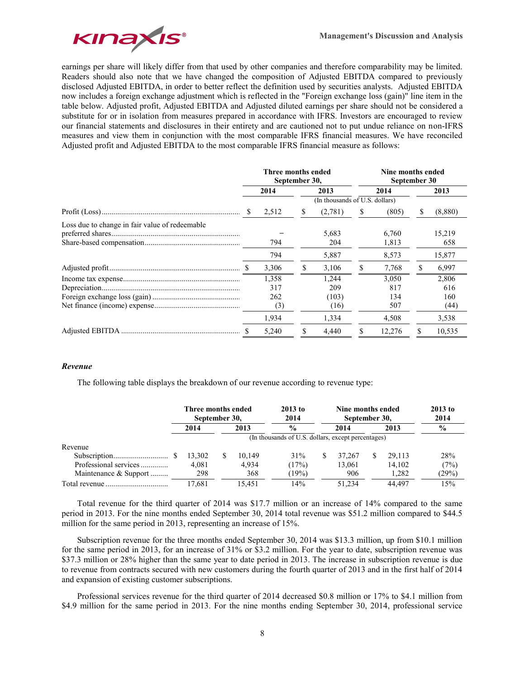

earnings per share will likely differ from that used by other companies and therefore comparability may be limited. Readers should also note that we have changed the composition of Adjusted EBITDA compared to previously disclosed Adjusted EBITDA, in order to better reflect the definition used by securities analysts. Adjusted EBITDA now includes a foreign exchange adjustment which is reflected in the "Foreign exchange loss (gain)" line item in the table below. Adjusted profit, Adjusted EBITDA and Adjusted diluted earnings per share should not be considered a substitute for or in isolation from measures prepared in accordance with IFRS. Investors are encouraged to review our financial statements and disclosures in their entirety and are cautioned not to put undue reliance on non-IFRS measures and view them in conjunction with the most comparable IFRS financial measures. We have reconciled Adjusted profit and Adjusted EBITDA to the most comparable IFRS financial measure as follows:

|                                                | Three months ended<br>September 30, |                                     |   |                                        |   | Nine months ended<br>September 30   |   |                                      |  |  |
|------------------------------------------------|-------------------------------------|-------------------------------------|---|----------------------------------------|---|-------------------------------------|---|--------------------------------------|--|--|
|                                                |                                     | 2014                                |   | 2013                                   |   | 2014                                |   | 2013                                 |  |  |
|                                                |                                     |                                     |   | (In thousands of U.S. dollars)         |   |                                     |   |                                      |  |  |
|                                                |                                     | 2,512                               | S | (2,781)                                | S | (805)                               | S | (8,880)                              |  |  |
| Loss due to change in fair value of redeemable |                                     | 794                                 |   | 5,683<br>204                           |   | 6.760<br>1,813                      |   | 15,219<br>658                        |  |  |
|                                                |                                     | 794                                 |   | 5,887                                  |   | 8,573                               |   | 15,877                               |  |  |
|                                                |                                     | 3,306                               | S | 3,106                                  | S | 7,768                               | S | 6,997                                |  |  |
|                                                |                                     | 1,358<br>317<br>262<br>(3)<br>1,934 |   | 1,244<br>209<br>(103)<br>(16)<br>1,334 |   | 3,050<br>817<br>134<br>507<br>4,508 |   | 2,806<br>616<br>160<br>(44)<br>3,538 |  |  |
|                                                |                                     | 5,240                               |   | 4.440                                  |   | 12,276                              |   | 10,535                               |  |  |

#### *Revenue*

The following table displays the breakdown of our revenue according to revenue type:

|                       | Three months ended<br>September 30, |    |        | $2013$ to<br>2014                                  | Nine months ended<br>September 30, | $2013$ to<br>2014 |        |               |
|-----------------------|-------------------------------------|----|--------|----------------------------------------------------|------------------------------------|-------------------|--------|---------------|
|                       | 2014                                |    | 2013   | $\frac{0}{0}$                                      | 2014                               |                   | 2013   | $\frac{0}{0}$ |
|                       |                                     |    |        | (In thousands of U.S. dollars, except percentages) |                                    |                   |        |               |
| Revenue               |                                     |    |        |                                                    |                                    |                   |        |               |
|                       | 13,302                              | S. | 10.149 | 31%                                                | 37.267                             | S                 | 29.113 | 28%           |
| Professional services | 4.081                               |    | 4.934  | (17%)                                              | 13.061                             |                   | 14.102 | (7%)          |
| Maintenance & Support | 298                                 |    | 368    | 19%                                                | 906                                |                   | 1,282  | (29%)         |
|                       | 17.681                              |    | 15.451 | 14%                                                | 51.234                             |                   | 44.497 | 15%           |

Total revenue for the third quarter of 2014 was \$17.7 million or an increase of 14% compared to the same period in 2013. For the nine months ended September 30, 2014 total revenue was \$51.2 million compared to \$44.5 million for the same period in 2013, representing an increase of 15%.

Subscription revenue for the three months ended September 30, 2014 was \$13.3 million, up from \$10.1 million for the same period in 2013, for an increase of 31% or \$3.2 million. For the year to date, subscription revenue was \$37.3 million or 28% higher than the same year to date period in 2013. The increase in subscription revenue is due to revenue from contracts secured with new customers during the fourth quarter of 2013 and in the first half of 2014 and expansion of existing customer subscriptions.

Professional services revenue for the third quarter of 2014 decreased \$0.8 million or 17% to \$4.1 million from \$4.9 million for the same period in 2013. For the nine months ending September 30, 2014, professional service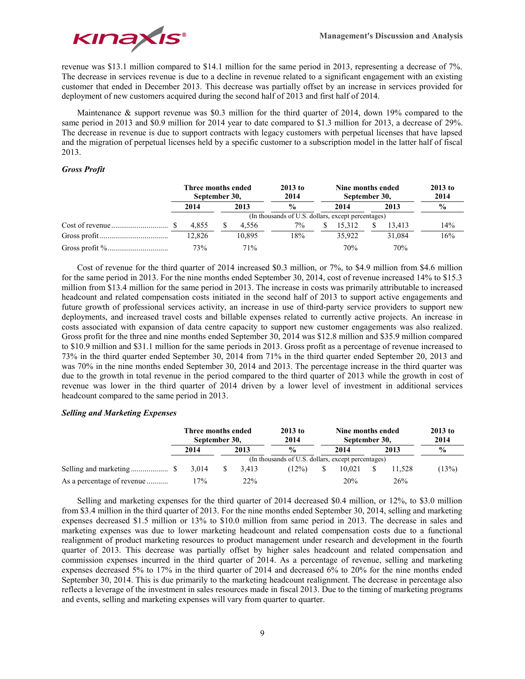

revenue was \$13.1 million compared to \$14.1 million for the same period in 2013, representing a decrease of 7%. The decrease in services revenue is due to a decline in revenue related to a significant engagement with an existing customer that ended in December 2013. This decrease was partially offset by an increase in services provided for deployment of new customers acquired during the second half of 2013 and first half of 2014.

Maintenance & support revenue was \$0.3 million for the third quarter of 2014, down 19% compared to the same period in 2013 and \$0.9 million for 2014 year to date compared to \$1.3 million for 2013, a decrease of 29%. The decrease in revenue is due to support contracts with legacy customers with perpetual licenses that have lapsed and the migration of perpetual licenses held by a specific customer to a subscription model in the latter half of fiscal 2013.

# *Gross Profit*

| Three months ended<br>September 30, |      |        | $2013$ to<br>2014 |                                                    | Nine months ended<br>September 30, | $2013$ to<br>2014 |        |               |  |
|-------------------------------------|------|--------|-------------------|----------------------------------------------------|------------------------------------|-------------------|--------|---------------|--|
| 2014                                | 2013 |        |                   |                                                    | 2014                               |                   | 2013   | $\frac{0}{0}$ |  |
|                                     |      |        |                   | (In thousands of U.S. dollars, except percentages) |                                    |                   |        |               |  |
| 4.855                               |      | 4.556  | $7\%$             |                                                    | 15.312                             |                   | 13.413 | 14%           |  |
| 12,826                              |      | 10.895 | 18%               |                                                    | 35.922                             |                   | 31.084 | 16%           |  |
| 73%                                 |      | 71%    |                   |                                                    | 70%                                |                   | 70%    |               |  |

Cost of revenue for the third quarter of 2014 increased \$0.3 million, or 7%, to \$4.9 million from \$4.6 million for the same period in 2013. For the nine months ended September 30, 2014, cost of revenue increased 14% to \$15.3 million from \$13.4 million for the same period in 2013. The increase in costs was primarily attributable to increased headcount and related compensation costs initiated in the second half of 2013 to support active engagements and future growth of professional services activity, an increase in use of third-party service providers to support new deployments, and increased travel costs and billable expenses related to currently active projects. An increase in costs associated with expansion of data centre capacity to support new customer engagements was also realized. Gross profit for the three and nine months ended September 30, 2014 was \$12.8 million and \$35.9 million compared to \$10.9 million and \$31.1 million for the same periods in 2013. Gross profit as a percentage of revenue increased to 73% in the third quarter ended September 30, 2014 from 71% in the third quarter ended September 20, 2013 and was 70% in the nine months ended September 30, 2014 and 2013. The percentage increase in the third quarter was due to the growth in total revenue in the period compared to the third quarter of 2013 while the growth in cost of revenue was lower in the third quarter of 2014 driven by a lower level of investment in additional services headcount compared to the same period in 2013.

## *Selling and Marketing Expenses*

|                            | Three months ended<br>September 30, |  |       | $2013$ to<br>2014 |                                                    | Nine months ended<br>September 30, | $2013$ to<br>2014 |               |       |
|----------------------------|-------------------------------------|--|-------|-------------------|----------------------------------------------------|------------------------------------|-------------------|---------------|-------|
|                            | 2014                                |  | 2013  | $\frac{0}{0}$     |                                                    | 2014                               | 2013              | $\frac{6}{9}$ |       |
|                            |                                     |  |       |                   | (In thousands of U.S. dollars, except percentages) |                                    |                   |               |       |
|                            | 3.014                               |  | 3.413 | (12%)             |                                                    | 10.021                             |                   | 11.528        | (13%) |
| As a percentage of revenue | 17%                                 |  | 22%   |                   |                                                    | 20%                                |                   | 26%           |       |

Selling and marketing expenses for the third quarter of 2014 decreased \$0.4 million, or 12%, to \$3.0 million from \$3.4 million in the third quarter of 2013. For the nine months ended September 30, 2014, selling and marketing expenses decreased \$1.5 million or 13% to \$10.0 million from same period in 2013. The decrease in sales and marketing expenses was due to lower marketing headcount and related compensation costs due to a functional realignment of product marketing resources to product management under research and development in the fourth quarter of 2013. This decrease was partially offset by higher sales headcount and related compensation and commission expenses incurred in the third quarter of 2014. As a percentage of revenue, selling and marketing expenses decreased 5% to 17% in the third quarter of 2014 and decreased 6% to 20% for the nine months ended September 30, 2014. This is due primarily to the marketing headcount realignment. The decrease in percentage also reflects a leverage of the investment in sales resources made in fiscal 2013. Due to the timing of marketing programs and events, selling and marketing expenses will vary from quarter to quarter.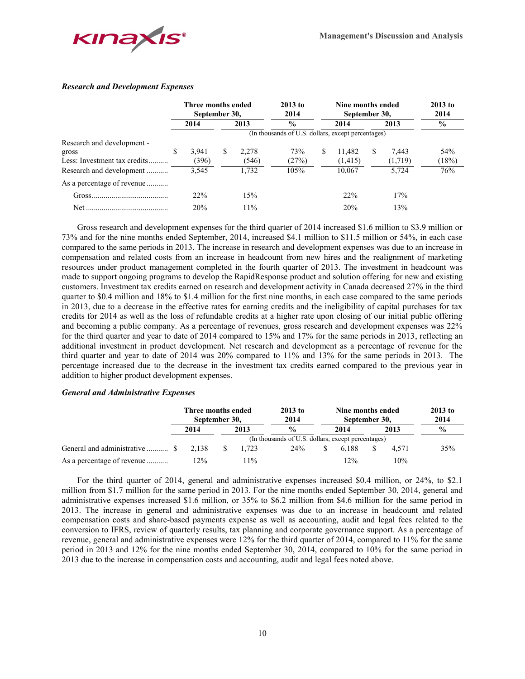

## *Research and Development Expenses*

|                                                                     | Three months ended<br>September 30, |                |               | $2013$ to<br>2014      |                                                    | Nine months ended<br>September 30, | $2013$ to<br>2014  |              |                  |               |
|---------------------------------------------------------------------|-------------------------------------|----------------|---------------|------------------------|----------------------------------------------------|------------------------------------|--------------------|--------------|------------------|---------------|
|                                                                     |                                     | 2014           |               | $\frac{6}{10}$<br>2013 |                                                    | 2014                               |                    | 2013         |                  | $\frac{6}{9}$ |
|                                                                     |                                     |                |               |                        | (In thousands of U.S. dollars, except percentages) |                                    |                    |              |                  |               |
| Research and development -<br>gross<br>Less: Investment tax credits | S                                   | 3,941<br>(396) | <sup>\$</sup> | 2,278<br>(546)         | 73%<br>(27%)                                       | S                                  | 11.482<br>(1, 415) | <sup>S</sup> | 7,443<br>(1,719) | 54%<br>(18%)  |
| Research and development                                            |                                     | 3,545          |               | 1.732                  | 105%                                               |                                    | 10.067             |              | 5.724            | 76%           |
| As a percentage of revenue                                          |                                     |                |               |                        |                                                    |                                    |                    |              |                  |               |
|                                                                     |                                     | 22%            |               | 15%                    |                                                    |                                    | 22%                |              | 17%              |               |
| <b>Net</b>                                                          |                                     | 20%            |               | 11%                    |                                                    |                                    | 20%                |              | 13%              |               |

Gross research and development expenses for the third quarter of 2014 increased \$1.6 million to \$3.9 million or 73% and for the nine months ended September, 2014, increased \$4.1 million to \$11.5 million or 54%, in each case compared to the same periods in 2013. The increase in research and development expenses was due to an increase in compensation and related costs from an increase in headcount from new hires and the realignment of marketing resources under product management completed in the fourth quarter of 2013. The investment in headcount was made to support ongoing programs to develop the RapidResponse product and solution offering for new and existing customers. Investment tax credits earned on research and development activity in Canada decreased 27% in the third quarter to \$0.4 million and 18% to \$1.4 million for the first nine months, in each case compared to the same periods in 2013, due to a decrease in the effective rates for earning credits and the ineligibility of capital purchases for tax credits for 2014 as well as the loss of refundable credits at a higher rate upon closing of our initial public offering and becoming a public company. As a percentage of revenues, gross research and development expenses was 22% for the third quarter and year to date of 2014 compared to 15% and 17% for the same periods in 2013, reflecting an additional investment in product development. Net research and development as a percentage of revenue for the third quarter and year to date of 2014 was 20% compared to 11% and 13% for the same periods in 2013. The percentage increased due to the decrease in the investment tax credits earned compared to the previous year in addition to higher product development expenses.

## *General and Administrative Expenses*

|                            | Three months ended<br>September 30, |  |       | $2013$ to<br>2014                                  | Nine months ended<br>September 30, | $2013$ to<br>2014 |               |
|----------------------------|-------------------------------------|--|-------|----------------------------------------------------|------------------------------------|-------------------|---------------|
|                            | 2014                                |  | 2013  | $\frac{0}{0}$                                      | 2014                               | 2013              | $\frac{0}{0}$ |
|                            |                                     |  |       | (In thousands of U.S. dollars, except percentages) |                                    |                   |               |
|                            | 2.138                               |  | 1.723 | 24%                                                | 6.188                              | 4.571             | 35%           |
| As a percentage of revenue | 12%                                 |  | $1\%$ |                                                    | 12%                                | 10%               |               |

For the third quarter of 2014, general and administrative expenses increased \$0.4 million, or 24%, to \$2.1 million from \$1.7 million for the same period in 2013. For the nine months ended September 30, 2014, general and administrative expenses increased \$1.6 million, or 35% to \$6.2 million from \$4.6 million for the same period in 2013. The increase in general and administrative expenses was due to an increase in headcount and related compensation costs and share-based payments expense as well as accounting, audit and legal fees related to the conversion to IFRS, review of quarterly results, tax planning and corporate governance support. As a percentage of revenue, general and administrative expenses were 12% for the third quarter of 2014, compared to 11% for the same period in 2013 and 12% for the nine months ended September 30, 2014, compared to 10% for the same period in 2013 due to the increase in compensation costs and accounting, audit and legal fees noted above.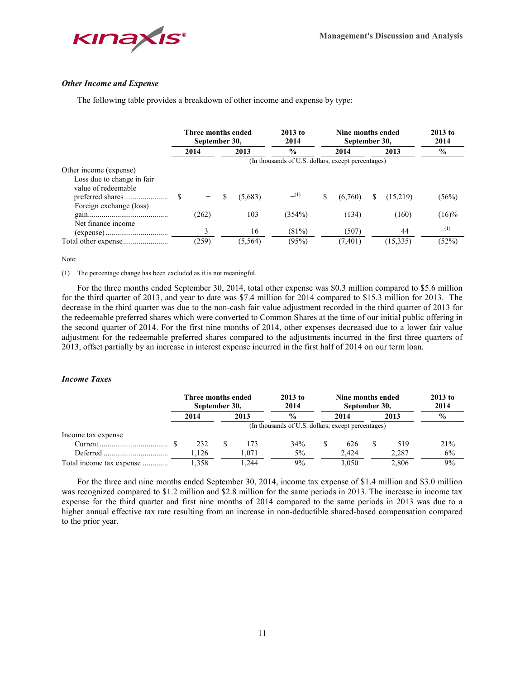

## *Other Income and Expense*

The following table provides a breakdown of other income and expense by type:

|                                                                                                        | Three months ended<br>September 30, |       |    | $2013$ to<br>2014 |                                                    | Nine months ended<br>September 30, | $2013$ to<br>2014 |    |          |               |
|--------------------------------------------------------------------------------------------------------|-------------------------------------|-------|----|-------------------|----------------------------------------------------|------------------------------------|-------------------|----|----------|---------------|
|                                                                                                        |                                     | 2014  |    | 2013              | $\frac{0}{0}$                                      |                                    | 2014              |    | 2013     | $\frac{0}{0}$ |
|                                                                                                        |                                     |       |    |                   | (In thousands of U.S. dollars, except percentages) |                                    |                   |    |          |               |
| Other income (expense)<br>Loss due to change in fair<br>value of redeemable<br>Foreign exchange (loss) |                                     |       | \$ | (5,683)           | (1)                                                | S                                  | (6,760)           | S. | (15,219) | (56%)         |
| Net finance income                                                                                     |                                     | (262) |    | 103               | (354%)                                             |                                    | (134)             |    | (160)    | $(16)\%$      |
|                                                                                                        |                                     | 3     |    | 16                | (81%)                                              |                                    | (507)             |    | 44       | (1)           |
|                                                                                                        |                                     | (259) |    | (5, 564)          | (95%)                                              |                                    | (7, 401)          |    | (15,335) | (52%)         |

#### Note:

(1) The percentage change has been excluded as it is not meaningful.

For the three months ended September 30, 2014, total other expense was \$0.3 million compared to \$5.6 million for the third quarter of 2013, and year to date was \$7.4 million for 2014 compared to \$15.3 million for 2013. The decrease in the third quarter was due to the non-cash fair value adjustment recorded in the third quarter of 2013 for the redeemable preferred shares which were converted to Common Shares at the time of our initial public offering in the second quarter of 2014. For the first nine months of 2014, other expenses decreased due to a lower fair value adjustment for the redeemable preferred shares compared to the adjustments incurred in the first three quarters of 2013, offset partially by an increase in interest expense incurred in the first half of 2014 on our term loan.

#### *Income Taxes*

|                          | Three months ended<br>September 30, |      |                                                    | $2013$ to<br>2014 | Nine months ended<br>September 30, | $2013$ to<br>2014 |       |               |  |
|--------------------------|-------------------------------------|------|----------------------------------------------------|-------------------|------------------------------------|-------------------|-------|---------------|--|
|                          | 2014                                | 2013 |                                                    | $\frac{0}{0}$     | 2014                               |                   | 2013  | $\frac{6}{9}$ |  |
|                          |                                     |      | (In thousands of U.S. dollars, except percentages) |                   |                                    |                   |       |               |  |
| Income tax expense       |                                     |      |                                                    |                   |                                    |                   |       |               |  |
|                          | 232                                 |      | 173                                                | 34%               | 626                                | S                 | 519   | 21%           |  |
|                          | .126                                |      | l.071                                              | $5\%$             | 2.424                              |                   | 2,287 | 6%            |  |
| Total income tax expense | 1.358                               |      | .244                                               | 9%                | 3.050                              |                   | 2,806 | 9%            |  |

For the three and nine months ended September 30, 2014, income tax expense of \$1.4 million and \$3.0 million was recognized compared to \$1.2 million and \$2.8 million for the same periods in 2013. The increase in income tax expense for the third quarter and first nine months of 2014 compared to the same periods in 2013 was due to a higher annual effective tax rate resulting from an increase in non-deductible shared-based compensation compared to the prior year.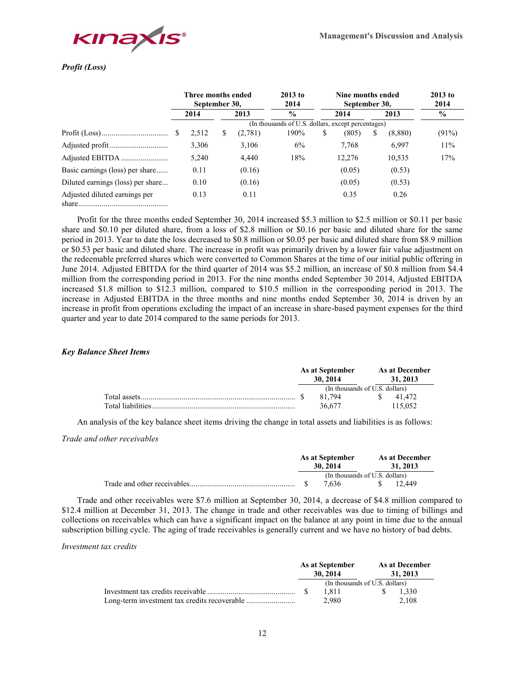

# *Profit (Loss)*

|                                   | Three months ended<br>September 30,                |              |   | $2013$ to<br>2014 |      | Nine months ended<br>September 30, | $2013$ to<br>2014 |    |         |       |  |  |
|-----------------------------------|----------------------------------------------------|--------------|---|-------------------|------|------------------------------------|-------------------|----|---------|-------|--|--|
|                                   |                                                    | 2013<br>2014 |   | $\frac{6}{9}$     |      | 2014                               | $\frac{6}{9}$     |    |         |       |  |  |
|                                   | (In thousands of U.S. dollars, except percentages) |              |   |                   |      |                                    |                   |    |         |       |  |  |
|                                   | -S                                                 | 2,512        | S | (2,781)           | 190% | S                                  | (805)             | S. | (8,880) | (91%) |  |  |
|                                   |                                                    | 3,306        |   | 3,106             | 6%   |                                    | 7.768             |    | 6,997   | 11%   |  |  |
|                                   |                                                    | 5,240        |   | 4,440             | 18%  |                                    | 12,276            |    | 10,535  | 17%   |  |  |
| Basic earnings (loss) per share   |                                                    | 0.11         |   | (0.16)            |      |                                    | (0.05)            |    | (0.53)  |       |  |  |
| Diluted earnings (loss) per share |                                                    | 0.10         |   | (0.16)            |      |                                    | (0.05)            |    | (0.53)  |       |  |  |
| Adjusted diluted earnings per     |                                                    | 0.13         |   | 0.11              |      |                                    | 0.35              |    | 0.26    |       |  |  |

Profit for the three months ended September 30, 2014 increased \$5.3 million to \$2.5 million or \$0.11 per basic share and \$0.10 per diluted share, from a loss of \$2.8 million or \$0.16 per basic and diluted share for the same period in 2013. Year to date the loss decreased to \$0.8 million or \$0.05 per basic and diluted share from \$8.9 million or \$0.53 per basic and diluted share. The increase in profit was primarily driven by a lower fair value adjustment on the redeemable preferred shares which were converted to Common Shares at the time of our initial public offering in June 2014. Adjusted EBITDA for the third quarter of 2014 was \$5.2 million, an increase of \$0.8 million from \$4.4 million from the corresponding period in 2013. For the nine months ended September 30 2014, Adjusted EBITDA increased \$1.8 million to \$12.3 million, compared to \$10.5 million in the corresponding period in 2013. The increase in Adjusted EBITDA in the three months and nine months ended September 30, 2014 is driven by an increase in profit from operations excluding the impact of an increase in share-based payment expenses for the third quarter and year to date 2014 compared to the same periods for 2013.

## *Key Balance Sheet Items*

|  | As at September<br>30.2014     | As at December<br>31, 2013 |
|--|--------------------------------|----------------------------|
|  | (In thousands of U.S. dollars) |                            |
|  | 81 794                         | \$ 41.472                  |
|  | 36.677                         | 115.052                    |

An analysis of the key balance sheet items driving the change in total assets and liabilities is as follows:

*Trade and other receivables*

|                                | As at September<br>30, 2014 |  | As at December<br>31, 2013 |
|--------------------------------|-----------------------------|--|----------------------------|
| (In thousands of U.S. dollars) |                             |  |                            |
|                                | 7.636                       |  | 12.449                     |

Trade and other receivables were \$7.6 million at September 30, 2014, a decrease of \$4.8 million compared to \$12.4 million at December 31, 2013. The change in trade and other receivables was due to timing of billings and collections on receivables which can have a significant impact on the balance at any point in time due to the annual subscription billing cycle. The aging of trade receivables is generally current and we have no history of bad debts.

#### *Investment tax credits*

|                                | As at September<br>30.2014 |  | As at December<br>31, 2013 |
|--------------------------------|----------------------------|--|----------------------------|
| (In thousands of U.S. dollars) |                            |  |                            |
|                                | 1811                       |  | 1.330                      |
|                                | 2.980                      |  | 2.108                      |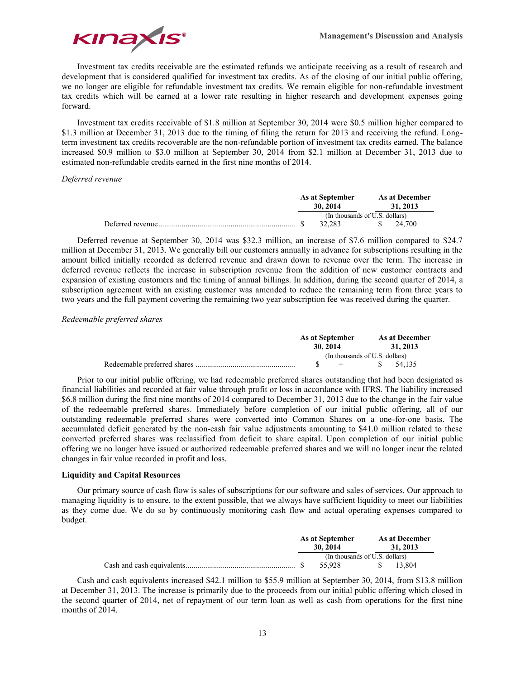

Investment tax credits receivable are the estimated refunds we anticipate receiving as a result of research and development that is considered qualified for investment tax credits. As of the closing of our initial public offering, we no longer are eligible for refundable investment tax credits. We remain eligible for non-refundable investment tax credits which will be earned at a lower rate resulting in higher research and development expenses going forward.

Investment tax credits receivable of \$1.8 million at September 30, 2014 were \$0.5 million higher compared to \$1.3 million at December 31, 2013 due to the timing of filing the return for 2013 and receiving the refund. Longterm investment tax credits recoverable are the non-refundable portion of investment tax credits earned. The balance increased \$0.9 million to \$3.0 million at September 30, 2014 from \$2.1 million at December 31, 2013 due to estimated non-refundable credits earned in the first nine months of 2014.

## *Deferred revenue*

|  | As at September<br>30.2014     | As at December<br>31, 2013 |
|--|--------------------------------|----------------------------|
|  | (In thousands of U.S. dollars) |                            |
|  | 32.283                         | \$ 24.700                  |

Deferred revenue at September 30, 2014 was \$32.3 million, an increase of \$7.6 million compared to \$24.7 million at December 31, 2013. We generally bill our customers annually in advance for subscriptions resulting in the amount billed initially recorded as deferred revenue and drawn down to revenue over the term. The increase in deferred revenue reflects the increase in subscription revenue from the addition of new customer contracts and expansion of existing customers and the timing of annual billings. In addition, during the second quarter of 2014, a subscription agreement with an existing customer was amended to reduce the remaining term from three years to two years and the full payment covering the remaining two year subscription fee was received during the quarter.

## *Redeemable preferred shares*

| As at September<br>30, 2014 |                                |    | As at December<br>31, 2013 |
|-----------------------------|--------------------------------|----|----------------------------|
|                             | (In thousands of U.S. dollars) |    |                            |
|                             | and the contract of the con-   | -8 | 54.135                     |

Prior to our initial public offering, we had redeemable preferred shares outstanding that had been designated as financial liabilities and recorded at fair value through profit or loss in accordance with IFRS. The liability increased \$6.8 million during the first nine months of 2014 compared to December 31, 2013 due to the change in the fair value of the redeemable preferred shares. Immediately before completion of our initial public offering, all of our outstanding redeemable preferred shares were converted into Common Shares on a one-for-one basis. The accumulated deficit generated by the non-cash fair value adjustments amounting to \$41.0 million related to these converted preferred shares was reclassified from deficit to share capital. Upon completion of our initial public offering we no longer have issued or authorized redeemable preferred shares and we will no longer incur the related changes in fair value recorded in profit and loss.

## **Liquidity and Capital Resources**

Our primary source of cash flow is sales of subscriptions for our software and sales of services. Our approach to managing liquidity is to ensure, to the extent possible, that we always have sufficient liquidity to meet our liabilities as they come due. We do so by continuously monitoring cash flow and actual operating expenses compared to budget.

|  | As at September<br>30, 2014    | <b>As at December</b><br>31, 2013 |        |  |
|--|--------------------------------|-----------------------------------|--------|--|
|  | (In thousands of U.S. dollars) |                                   |        |  |
|  | 55.928                         |                                   | 13.804 |  |

Cash and cash equivalents increased \$42.1 million to \$55.9 million at September 30, 2014, from \$13.8 million at December 31, 2013. The increase is primarily due to the proceeds from our initial public offering which closed in the second quarter of 2014, net of repayment of our term loan as well as cash from operations for the first nine months of 2014.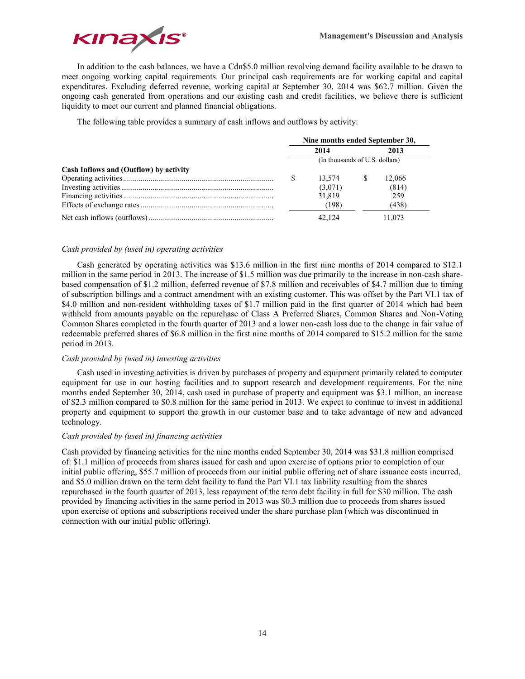

In addition to the cash balances, we have a Cdn\$5.0 million revolving demand facility available to be drawn to meet ongoing working capital requirements. Our principal cash requirements are for working capital and capital expenditures. Excluding deferred revenue, working capital at September 30, 2014 was \$62.7 million. Given the ongoing cash generated from operations and our existing cash and credit facilities, we believe there is sufficient liquidity to meet our current and planned financial obligations.

The following table provides a summary of cash inflows and outflows by activity:

|                                        | Nine months ended September 30, |         |  |        |  |  |
|----------------------------------------|---------------------------------|---------|--|--------|--|--|
|                                        |                                 | 2014    |  | 2013   |  |  |
|                                        | (In thousands of U.S. dollars)  |         |  |        |  |  |
| Cash Inflows and (Outflow) by activity |                                 |         |  |        |  |  |
|                                        |                                 | 13.574  |  | 12.066 |  |  |
|                                        |                                 | (3,071) |  | (814)  |  |  |
|                                        |                                 | 31,819  |  | 259    |  |  |
|                                        |                                 | (198)   |  | (438)  |  |  |
|                                        |                                 | 42.124  |  | 11.073 |  |  |

# *Cash provided by (used in) operating activities*

Cash generated by operating activities was \$13.6 million in the first nine months of 2014 compared to \$12.1 million in the same period in 2013. The increase of \$1.5 million was due primarily to the increase in non-cash sharebased compensation of \$1.2 million, deferred revenue of \$7.8 million and receivables of \$4.7 million due to timing of subscription billings and a contract amendment with an existing customer. This was offset by the Part VI.1 tax of \$4.0 million and non-resident withholding taxes of \$1.7 million paid in the first quarter of 2014 which had been withheld from amounts payable on the repurchase of Class A Preferred Shares, Common Shares and Non-Voting Common Shares completed in the fourth quarter of 2013 and a lower non-cash loss due to the change in fair value of redeemable preferred shares of \$6.8 million in the first nine months of 2014 compared to \$15.2 million for the same period in 2013.

## *Cash provided by (used in) investing activities*

Cash used in investing activities is driven by purchases of property and equipment primarily related to computer equipment for use in our hosting facilities and to support research and development requirements. For the nine months ended September 30, 2014, cash used in purchase of property and equipment was \$3.1 million, an increase of \$2.3 million compared to \$0.8 million for the same period in 2013. We expect to continue to invest in additional property and equipment to support the growth in our customer base and to take advantage of new and advanced technology.

## *Cash provided by (used in) financing activities*

Cash provided by financing activities for the nine months ended September 30, 2014 was \$31.8 million comprised of: \$1.1 million of proceeds from shares issued for cash and upon exercise of options prior to completion of our initial public offering, \$55.7 million of proceeds from our initial public offering net of share issuance costs incurred, and \$5.0 million drawn on the term debt facility to fund the Part VI.1 tax liability resulting from the shares repurchased in the fourth quarter of 2013, less repayment of the term debt facility in full for \$30 million. The cash provided by financing activities in the same period in 2013 was \$0.3 million due to proceeds from shares issued upon exercise of options and subscriptions received under the share purchase plan (which was discontinued in connection with our initial public offering).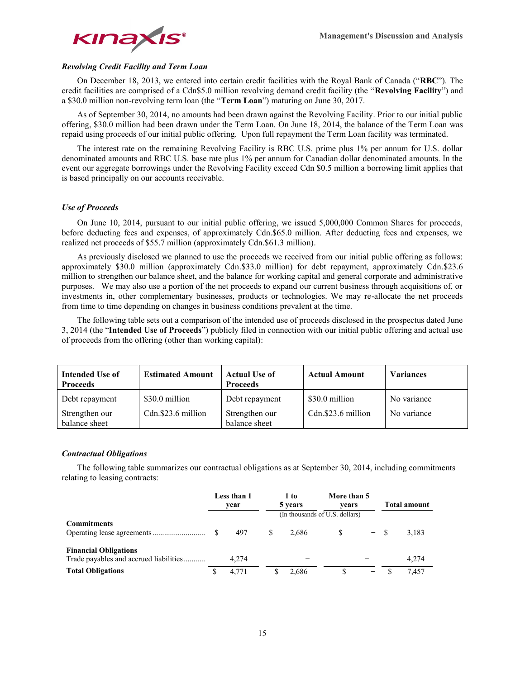

# *Revolving Credit Facility and Term Loan*

On December 18, 2013, we entered into certain credit facilities with the Royal Bank of Canada ("**RBC**"). The credit facilities are comprised of a Cdn\$5.0 million revolving demand credit facility (the "**Revolving Facility**") and a \$30.0 million non-revolving term loan (the "**Term Loan**") maturing on June 30, 2017.

As of September 30, 2014, no amounts had been drawn against the Revolving Facility. Prior to our initial public offering, \$30.0 million had been drawn under the Term Loan. On June 18, 2014, the balance of the Term Loan was repaid using proceeds of our initial public offering. Upon full repayment the Term Loan facility was terminated.

The interest rate on the remaining Revolving Facility is RBC U.S. prime plus 1% per annum for U.S. dollar denominated amounts and RBC U.S. base rate plus 1% per annum for Canadian dollar denominated amounts. In the event our aggregate borrowings under the Revolving Facility exceed Cdn \$0.5 million a borrowing limit applies that is based principally on our accounts receivable.

## *Use of Proceeds*

On June 10, 2014, pursuant to our initial public offering, we issued 5,000,000 Common Shares for proceeds, before deducting fees and expenses, of approximately Cdn.\$65.0 million. After deducting fees and expenses, we realized net proceeds of \$55.7 million (approximately Cdn.\$61.3 million).

As previously disclosed we planned to use the proceeds we received from our initial public offering as follows: approximately \$30.0 million (approximately Cdn.\$33.0 million) for debt repayment, approximately Cdn.\$23.6 million to strengthen our balance sheet, and the balance for working capital and general corporate and administrative purposes. We may also use a portion of the net proceeds to expand our current business through acquisitions of, or investments in, other complementary businesses, products or technologies. We may re-allocate the net proceeds from time to time depending on changes in business conditions prevalent at the time.

The following table sets out a comparison of the intended use of proceeds disclosed in the prospectus dated June 3, 2014 (the "**Intended Use of Proceeds**") publicly filed in connection with our initial public offering and actual use of proceeds from the offering (other than working capital):

| Intended Use of<br><b>Proceeds</b> | <b>Estimated Amount</b> | <b>Actual Use of</b><br><b>Proceeds</b> | <b>Actual Amount</b> | <b>Variances</b> |
|------------------------------------|-------------------------|-----------------------------------------|----------------------|------------------|
| Debt repayment                     | \$30.0 million          | Debt repayment                          | \$30.0 million       | No variance      |
| Strengthen our<br>balance sheet    | Cdn.\$23.6 million      | Strengthen our<br>balance sheet         | Cdn.\$23.6 million   | No variance      |

#### *Contractual Obligations*

The following table summarizes our contractual obligations as at September 30, 2014, including commitments relating to leasing contracts:

|                                                                        |   | Less than 1<br>vear |   | 1 to<br>5 years | More than 5<br>vears<br>(In thousands of U.S. dollars) |        | <b>Total amount</b> |
|------------------------------------------------------------------------|---|---------------------|---|-----------------|--------------------------------------------------------|--------|---------------------|
| <b>Commitments</b>                                                     |   | 497                 |   | 2.686           |                                                        | $\sim$ | 3,183               |
| <b>Financial Obligations</b><br>Trade payables and accrued liabilities |   | 4.274               |   |                 |                                                        |        | 4.274               |
| <b>Total Obligations</b>                                               | S | 4.771               | S | 2.686           |                                                        | -      | 7.457               |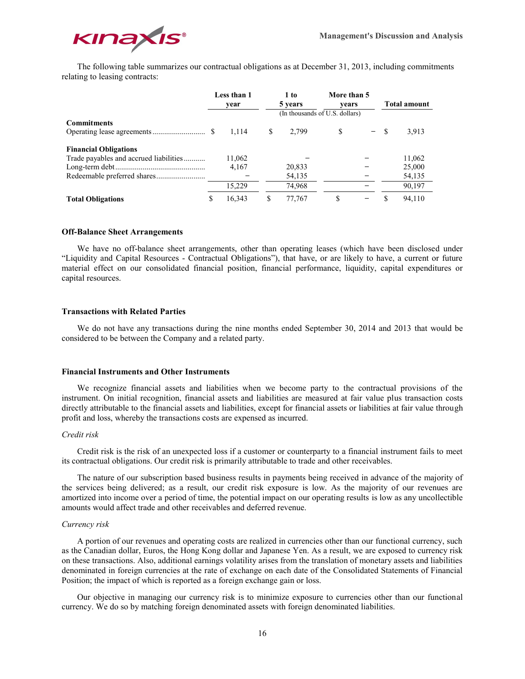

The following table summarizes our contractual obligations as at December 31, 2013, including commitments relating to leasing contracts:

|                                        |   | Less than 1<br>year |   | 1 to<br>5 years                | More than 5<br>vears |        | <b>Total amount</b> |
|----------------------------------------|---|---------------------|---|--------------------------------|----------------------|--------|---------------------|
|                                        |   |                     |   | (In thousands of U.S. dollars) |                      |        |                     |
| <b>Commitments</b>                     |   | 1,114               | S | 2.799                          | <sup>\$</sup>        | $-$ \$ | 3,913               |
| <b>Financial Obligations</b>           |   |                     |   |                                |                      |        |                     |
| Trade payables and accrued liabilities |   | 11,062              |   |                                |                      |        | 11,062              |
|                                        |   | 4,167               |   | 20,833                         |                      |        | 25,000              |
|                                        |   |                     |   | 54,135                         |                      |        | 54,135              |
|                                        |   | 15.229              |   | 74,968                         |                      |        | 90,197              |
| <b>Total Obligations</b>               | S | 16,343              | S | 77.767                         | \$                   |        | 94.110              |

#### **Off-Balance Sheet Arrangements**

We have no off-balance sheet arrangements, other than operating leases (which have been disclosed under "Liquidity and Capital Resources - Contractual Obligations"), that have, or are likely to have, a current or future material effect on our consolidated financial position, financial performance, liquidity, capital expenditures or capital resources.

## **Transactions with Related Parties**

We do not have any transactions during the nine months ended September 30, 2014 and 2013 that would be considered to be between the Company and a related party.

#### **Financial Instruments and Other Instruments**

We recognize financial assets and liabilities when we become party to the contractual provisions of the instrument. On initial recognition, financial assets and liabilities are measured at fair value plus transaction costs directly attributable to the financial assets and liabilities, except for financial assets or liabilities at fair value through profit and loss, whereby the transactions costs are expensed as incurred.

## *Credit risk*

Credit risk is the risk of an unexpected loss if a customer or counterparty to a financial instrument fails to meet its contractual obligations. Our credit risk is primarily attributable to trade and other receivables.

The nature of our subscription based business results in payments being received in advance of the majority of the services being delivered; as a result, our credit risk exposure is low. As the majority of our revenues are amortized into income over a period of time, the potential impact on our operating results is low as any uncollectible amounts would affect trade and other receivables and deferred revenue.

## *Currency risk*

A portion of our revenues and operating costs are realized in currencies other than our functional currency, such as the Canadian dollar, Euros, the Hong Kong dollar and Japanese Yen. As a result, we are exposed to currency risk on these transactions. Also, additional earnings volatility arises from the translation of monetary assets and liabilities denominated in foreign currencies at the rate of exchange on each date of the Consolidated Statements of Financial Position; the impact of which is reported as a foreign exchange gain or loss.

Our objective in managing our currency risk is to minimize exposure to currencies other than our functional currency. We do so by matching foreign denominated assets with foreign denominated liabilities.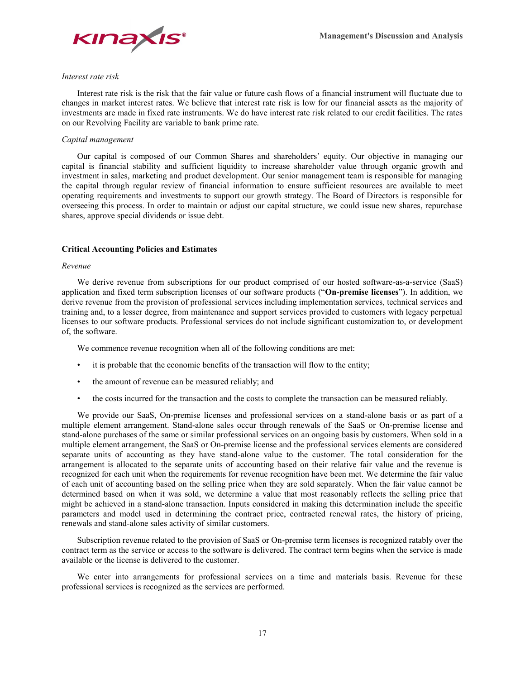

#### *Interest rate risk*

Interest rate risk is the risk that the fair value or future cash flows of a financial instrument will fluctuate due to changes in market interest rates. We believe that interest rate risk is low for our financial assets as the majority of investments are made in fixed rate instruments. We do have interest rate risk related to our credit facilities. The rates on our Revolving Facility are variable to bank prime rate.

## *Capital management*

Our capital is composed of our Common Shares and shareholders' equity. Our objective in managing our capital is financial stability and sufficient liquidity to increase shareholder value through organic growth and investment in sales, marketing and product development. Our senior management team is responsible for managing the capital through regular review of financial information to ensure sufficient resources are available to meet operating requirements and investments to support our growth strategy. The Board of Directors is responsible for overseeing this process. In order to maintain or adjust our capital structure, we could issue new shares, repurchase shares, approve special dividends or issue debt.

## **Critical Accounting Policies and Estimates**

#### *Revenue*

We derive revenue from subscriptions for our product comprised of our hosted software-as-a-service (SaaS) application and fixed term subscription licenses of our software products ("**On-premise licenses**"). In addition, we derive revenue from the provision of professional services including implementation services, technical services and training and, to a lesser degree, from maintenance and support services provided to customers with legacy perpetual licenses to our software products. Professional services do not include significant customization to, or development of, the software.

We commence revenue recognition when all of the following conditions are met:

- it is probable that the economic benefits of the transaction will flow to the entity;
- the amount of revenue can be measured reliably; and
- the costs incurred for the transaction and the costs to complete the transaction can be measured reliably.

We provide our SaaS, On-premise licenses and professional services on a stand-alone basis or as part of a multiple element arrangement. Stand-alone sales occur through renewals of the SaaS or On-premise license and stand-alone purchases of the same or similar professional services on an ongoing basis by customers. When sold in a multiple element arrangement, the SaaS or On-premise license and the professional services elements are considered separate units of accounting as they have stand-alone value to the customer. The total consideration for the arrangement is allocated to the separate units of accounting based on their relative fair value and the revenue is recognized for each unit when the requirements for revenue recognition have been met. We determine the fair value of each unit of accounting based on the selling price when they are sold separately. When the fair value cannot be determined based on when it was sold, we determine a value that most reasonably reflects the selling price that might be achieved in a stand-alone transaction. Inputs considered in making this determination include the specific parameters and model used in determining the contract price, contracted renewal rates, the history of pricing, renewals and stand-alone sales activity of similar customers.

Subscription revenue related to the provision of SaaS or On-premise term licenses is recognized ratably over the contract term as the service or access to the software is delivered. The contract term begins when the service is made available or the license is delivered to the customer.

We enter into arrangements for professional services on a time and materials basis. Revenue for these professional services is recognized as the services are performed.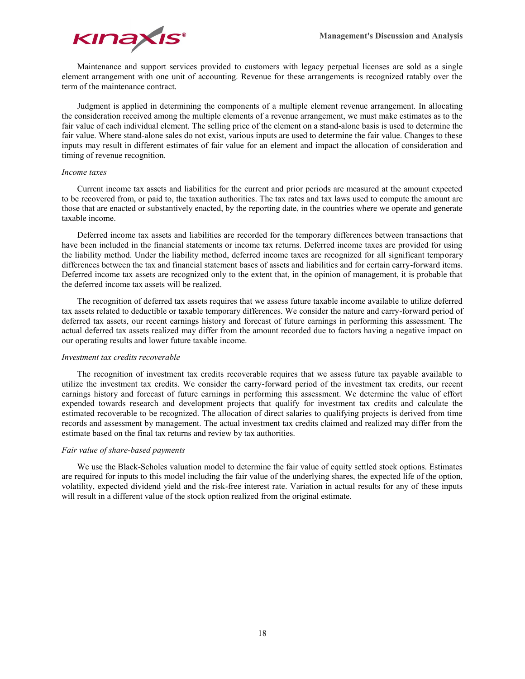

Maintenance and support services provided to customers with legacy perpetual licenses are sold as a single element arrangement with one unit of accounting. Revenue for these arrangements is recognized ratably over the term of the maintenance contract.

Judgment is applied in determining the components of a multiple element revenue arrangement. In allocating the consideration received among the multiple elements of a revenue arrangement, we must make estimates as to the fair value of each individual element. The selling price of the element on a stand-alone basis is used to determine the fair value. Where stand-alone sales do not exist, various inputs are used to determine the fair value. Changes to these inputs may result in different estimates of fair value for an element and impact the allocation of consideration and timing of revenue recognition.

## *Income taxes*

Current income tax assets and liabilities for the current and prior periods are measured at the amount expected to be recovered from, or paid to, the taxation authorities. The tax rates and tax laws used to compute the amount are those that are enacted or substantively enacted, by the reporting date, in the countries where we operate and generate taxable income.

Deferred income tax assets and liabilities are recorded for the temporary differences between transactions that have been included in the financial statements or income tax returns. Deferred income taxes are provided for using the liability method. Under the liability method, deferred income taxes are recognized for all significant temporary differences between the tax and financial statement bases of assets and liabilities and for certain carry-forward items. Deferred income tax assets are recognized only to the extent that, in the opinion of management, it is probable that the deferred income tax assets will be realized.

The recognition of deferred tax assets requires that we assess future taxable income available to utilize deferred tax assets related to deductible or taxable temporary differences. We consider the nature and carry-forward period of deferred tax assets, our recent earnings history and forecast of future earnings in performing this assessment. The actual deferred tax assets realized may differ from the amount recorded due to factors having a negative impact on our operating results and lower future taxable income.

## *Investment tax credits recoverable*

The recognition of investment tax credits recoverable requires that we assess future tax payable available to utilize the investment tax credits. We consider the carry-forward period of the investment tax credits, our recent earnings history and forecast of future earnings in performing this assessment. We determine the value of effort expended towards research and development projects that qualify for investment tax credits and calculate the estimated recoverable to be recognized. The allocation of direct salaries to qualifying projects is derived from time records and assessment by management. The actual investment tax credits claimed and realized may differ from the estimate based on the final tax returns and review by tax authorities.

## *Fair value of share-based payments*

We use the Black-Scholes valuation model to determine the fair value of equity settled stock options. Estimates are required for inputs to this model including the fair value of the underlying shares, the expected life of the option, volatility, expected dividend yield and the risk-free interest rate. Variation in actual results for any of these inputs will result in a different value of the stock option realized from the original estimate.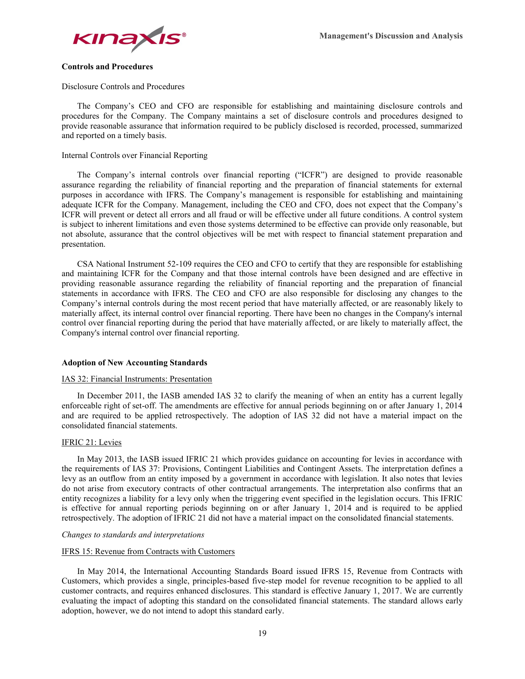

## **Controls and Procedures**

Disclosure Controls and Procedures

The Company's CEO and CFO are responsible for establishing and maintaining disclosure controls and procedures for the Company. The Company maintains a set of disclosure controls and procedures designed to provide reasonable assurance that information required to be publicly disclosed is recorded, processed, summarized and reported on a timely basis.

## Internal Controls over Financial Reporting

The Company's internal controls over financial reporting ("ICFR") are designed to provide reasonable assurance regarding the reliability of financial reporting and the preparation of financial statements for external purposes in accordance with IFRS. The Company's management is responsible for establishing and maintaining adequate ICFR for the Company. Management, including the CEO and CFO, does not expect that the Company's ICFR will prevent or detect all errors and all fraud or will be effective under all future conditions. A control system is subject to inherent limitations and even those systems determined to be effective can provide only reasonable, but not absolute, assurance that the control objectives will be met with respect to financial statement preparation and presentation.

CSA National Instrument 52-109 requires the CEO and CFO to certify that they are responsible for establishing and maintaining ICFR for the Company and that those internal controls have been designed and are effective in providing reasonable assurance regarding the reliability of financial reporting and the preparation of financial statements in accordance with IFRS. The CEO and CFO are also responsible for disclosing any changes to the Company's internal controls during the most recent period that have materially affected, or are reasonably likely to materially affect, its internal control over financial reporting. There have been no changes in the Company's internal control over financial reporting during the period that have materially affected, or are likely to materially affect, the Company's internal control over financial reporting.

## **Adoption of New Accounting Standards**

#### IAS 32: Financial Instruments: Presentation

In December 2011, the IASB amended IAS 32 to clarify the meaning of when an entity has a current legally enforceable right of set-off. The amendments are effective for annual periods beginning on or after January 1, 2014 and are required to be applied retrospectively. The adoption of IAS 32 did not have a material impact on the consolidated financial statements.

#### IFRIC 21: Levies

In May 2013, the IASB issued IFRIC 21 which provides guidance on accounting for levies in accordance with the requirements of IAS 37: Provisions, Contingent Liabilities and Contingent Assets. The interpretation defines a levy as an outflow from an entity imposed by a government in accordance with legislation. It also notes that levies do not arise from executory contracts of other contractual arrangements. The interpretation also confirms that an entity recognizes a liability for a levy only when the triggering event specified in the legislation occurs. This IFRIC is effective for annual reporting periods beginning on or after January 1, 2014 and is required to be applied retrospectively. The adoption of IFRIC 21 did not have a material impact on the consolidated financial statements.

#### *Changes to standards and interpretations*

## IFRS 15: Revenue from Contracts with Customers

In May 2014, the International Accounting Standards Board issued IFRS 15, Revenue from Contracts with Customers, which provides a single, principles-based five-step model for revenue recognition to be applied to all customer contracts, and requires enhanced disclosures. This standard is effective January 1, 2017. We are currently evaluating the impact of adopting this standard on the consolidated financial statements. The standard allows early adoption, however, we do not intend to adopt this standard early.